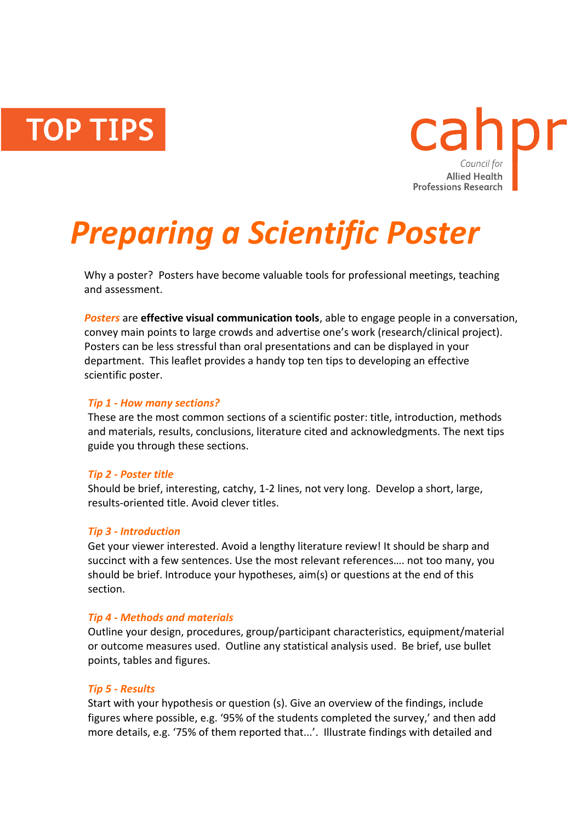**TOP TIPS** 



# *Preparing a Scientific Poster*

Why a poster? Posters have become valuable tools for professional meetings, teaching and assessment.

*Posters* are **effective visual communication tools**, able to engage people in a conversation, convey main points to large crowds and advertise one's work (research/clinical project). Posters can be less stressful than oral presentations and can be displayed in your department. This leaflet provides a handy top ten tips to developing an effective scientific poster.

#### *Tip 1 - How many sections?*

These are the most common sections of a scientific poster: title, introduction, methods and materials, results, conclusions, literature cited and acknowledgments. The next tips guide you through these sections.

#### *Tip 2 - Poster title*

Should be brief, interesting, catchy, 1-2 lines, not very long. Develop a short, large, results-oriented title. Avoid clever titles.

#### *Tip 3 - Introduction*

Get your viewer interested. Avoid a lengthy literature review! It should be sharp and succinct with a few sentences. Use the most relevant references…. not too many, you should be brief. Introduce your hypotheses, aim(s) or questions at the end of this section.

### *Tip 4 - Methods and materials*

Outline your design, procedures, group/participant characteristics, equipment/material or outcome measures used. Outline any statistical analysis used. Be brief, use bullet points, tables and figures.

#### *Tip 5 - Results*

Start with your hypothesis or question (s). Give an overview of the findings, include figures where possible, e.g. '95% of the students completed the survey,' and then add more details, e.g. '75% of them reported that...'. Illustrate findings with detailed and